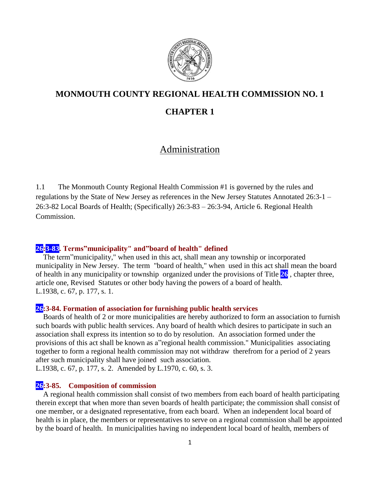

# **MONMOUTH COUNTY REGIONAL HEALTH COMMISSION NO. 1**

# **CHAPTER 1**

# Administration

1.1 The Monmouth County Regional Health Commission #1 is governed by the rules and regulations by the State of New Jersey as references in the New Jersey Statutes Annotated 26:3-1 – 26:3-82 Local Boards of Health; (Specifically) 26:3-83 – 26:3-94, Article 6. Regional Health Commission.

## **26:3-83. Terms"municipality" and"board of health" defined**

The term"municipality," when used in this act, shall mean any township or incorporated municipality in New Jersey. The term "board of health," when used in this act shall mean the board of health in any municipality or township organized under the provisions of Title **26** , chapter three, article one, Revised Statutes or other body having the powers of a board of health. L.1938, c. 67, p. 177, s. 1.

### **26:3-84. Formation of association for furnishing public health services**

Boards of health of 2 or more municipalities are hereby authorized to form an association to furnish such boards with public health services. Any board of health which desires to participate in such an association shall express its intention so to do by resolution. An association formed under the provisions of this act shall be known as a"regional health commission." Municipalities associating together to form a regional health commission may not withdraw therefrom for a period of 2 years after such municipality shall have joined such association.

L.1938, c. 67, p. 177, s. 2. Amended by L.1970, c. 60, s. 3.

## **26:3-85. Composition of commission**

A regional health commission shall consist of two members from each board of health participating therein except that when more than seven boards of health participate; the commission shall consist of one member, or a designated representative, from each board. When an independent local board of health is in place, the members or representatives to serve on a regional commission shall be appointed by the board of health. In municipalities having no independent local board of health, members of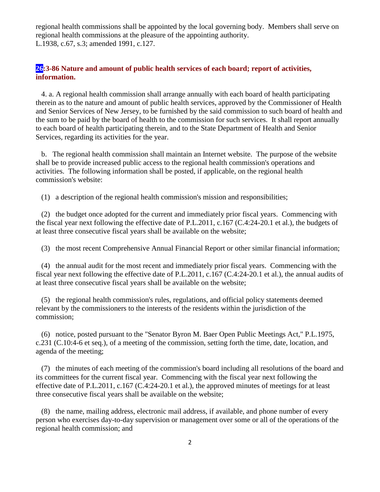regional health commissions shall be appointed by the local governing body. Members shall serve on regional health commissions at the pleasure of the appointing authority. L.1938, c.67, s.3; amended 1991, c.127.

# **26:3-86 Nature and amount of public health services of each board; report of activities, information.**

 4. a. A regional health commission shall arrange annually with each board of health participating therein as to the nature and amount of public health services, approved by the Commissioner of Health and Senior Services of New Jersey, to be furnished by the said commission to such board of health and the sum to be paid by the board of health to the commission for such services. It shall report annually to each board of health participating therein, and to the State Department of Health and Senior Services, regarding its activities for the year.

 b. The regional health commission shall maintain an Internet website. The purpose of the website shall be to provide increased public access to the regional health commission's operations and activities. The following information shall be posted, if applicable, on the regional health commission's website:

(1) a description of the regional health commission's mission and responsibilities;

 (2) the budget once adopted for the current and immediately prior fiscal years. Commencing with the fiscal year next following the effective date of P.L.2011, c.167 (C.4:24-20.1 et al.), the budgets of at least three consecutive fiscal years shall be available on the website;

(3) the most recent Comprehensive Annual Financial Report or other similar financial information;

 (4) the annual audit for the most recent and immediately prior fiscal years. Commencing with the fiscal year next following the effective date of P.L.2011, c.167 (C.4:24-20.1 et al.), the annual audits of at least three consecutive fiscal years shall be available on the website;

 (5) the regional health commission's rules, regulations, and official policy statements deemed relevant by the commissioners to the interests of the residents within the jurisdiction of the commission;

 (6) notice, posted pursuant to the "Senator Byron M. Baer Open Public Meetings Act," P.L.1975, c.231 (C.10:4-6 et seq.), of a meeting of the commission, setting forth the time, date, location, and agenda of the meeting;

 (7) the minutes of each meeting of the commission's board including all resolutions of the board and its committees for the current fiscal year. Commencing with the fiscal year next following the effective date of P.L.2011, c.167 (C.4:24-20.1 et al.), the approved minutes of meetings for at least three consecutive fiscal years shall be available on the website;

 (8) the name, mailing address, electronic mail address, if available, and phone number of every person who exercises day-to-day supervision or management over some or all of the operations of the regional health commission; and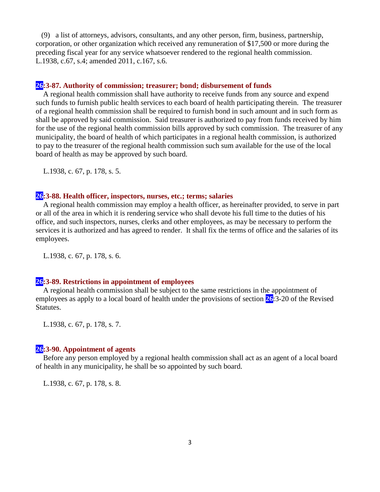(9) a list of attorneys, advisors, consultants, and any other person, firm, business, partnership, corporation, or other organization which received any remuneration of \$17,500 or more during the preceding fiscal year for any service whatsoever rendered to the regional health commission. L.1938, c.67, s.4; amended 2011, c.167, s.6.

### **26:3-87. Authority of commission; treasurer; bond; disbursement of funds**

A regional health commission shall have authority to receive funds from any source and expend such funds to furnish public health services to each board of health participating therein. The treasurer of a regional health commission shall be required to furnish bond in such amount and in such form as shall be approved by said commission. Said treasurer is authorized to pay from funds received by him for the use of the regional health commission bills approved by such commission. The treasurer of any municipality, the board of health of which participates in a regional health commission, is authorized to pay to the treasurer of the regional health commission such sum available for the use of the local board of health as may be approved by such board.

L.1938, c. 67, p. 178, s. 5.

#### **26:3-88. Health officer, inspectors, nurses, etc.; terms; salaries**

A regional health commission may employ a health officer, as hereinafter provided, to serve in part or all of the area in which it is rendering service who shall devote his full time to the duties of his office, and such inspectors, nurses, clerks and other employees, as may be necessary to perform the services it is authorized and has agreed to render. It shall fix the terms of office and the salaries of its employees.

L.1938, c. 67, p. 178, s. 6.

## **26:3-89. Restrictions in appointment of employees**

A regional health commission shall be subject to the same restrictions in the appointment of employees as apply to a local board of health under the provisions of section **26**:3-20 of the Revised Statutes.

L.1938, c. 67, p. 178, s. 7.

#### **26:3-90. Appointment of agents**

Before any person employed by a regional health commission shall act as an agent of a local board of health in any municipality, he shall be so appointed by such board.

L.1938, c. 67, p. 178, s. 8.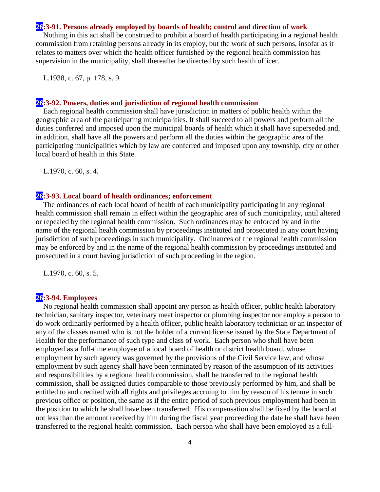#### **26:3-91. Persons already employed by boards of health; control and direction of work**

Nothing in this act shall be construed to prohibit a board of health participating in a regional health commission from retaining persons already in its employ, but the work of such persons, insofar as it relates to matters over which the health officer furnished by the regional health commission has supervision in the municipality, shall thereafter be directed by such health officer.

L.1938, c. 67, p. 178, s. 9.

#### **26:3-92. Powers, duties and jurisdiction of regional health commission**

Each regional health commission shall have jurisdiction in matters of public health within the geographic area of the participating municipalities. It shall succeed to all powers and perform all the duties conferred and imposed upon the municipal boards of health which it shall have superseded and, in addition, shall have all the powers and perform all the duties within the geographic area of the participating municipalities which by law are conferred and imposed upon any township, city or other local board of health in this State.

L.1970, c. 60, s. 4.

#### **26:3-93. Local board of health ordinances; enforcement**

The ordinances of each local board of health of each municipality participating in any regional health commission shall remain in effect within the geographic area of such municipality, until altered or repealed by the regional health commission. Such ordinances may be enforced by and in the name of the regional health commission by proceedings instituted and prosecuted in any court having jurisdiction of such proceedings in such municipality. Ordinances of the regional health commission may be enforced by and in the name of the regional health commission by proceedings instituted and prosecuted in a court having jurisdiction of such proceeding in the region.

L.1970, c. 60, s. 5.

## **26:3-94. Employees**

No regional health commission shall appoint any person as health officer, public health laboratory technician, sanitary inspector, veterinary meat inspector or plumbing inspector nor employ a person to do work ordinarily performed by a health officer, public health laboratory technician or an inspector of any of the classes named who is not the holder of a current license issued by the State Department of Health for the performance of such type and class of work. Each person who shall have been employed as a full-time employee of a local board of health or district health board, whose employment by such agency was governed by the provisions of the Civil Service law, and whose employment by such agency shall have been terminated by reason of the assumption of its activities and responsibilities by a regional health commission, shall be transferred to the regional health commission, shall be assigned duties comparable to those previously performed by him, and shall be entitled to and credited with all rights and privileges accruing to him by reason of his tenure in such previous office or position, the same as if the entire period of such previous employment had been in the position to which he shall have been transferred. His compensation shall be fixed by the board at not less than the amount received by him during the fiscal year proceeding the date he shall have been transferred to the regional health commission. Each person who shall have been employed as a full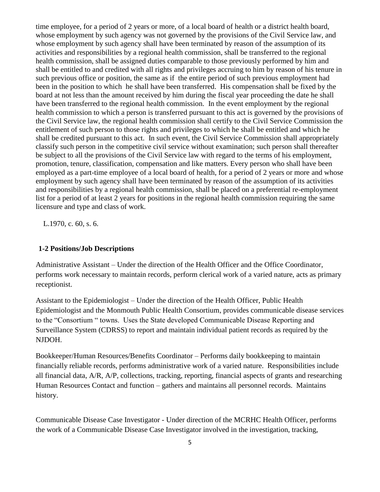time employee, for a period of 2 years or more, of a local board of health or a district health board, whose employment by such agency was not governed by the provisions of the Civil Service law, and whose employment by such agency shall have been terminated by reason of the assumption of its activities and responsibilities by a regional health commission, shall be transferred to the regional health commission, shall be assigned duties comparable to those previously performed by him and shall be entitled to and credited with all rights and privileges accruing to him by reason of his tenure in such previous office or position, the same as if the entire period of such previous employment had been in the position to which he shall have been transferred. His compensation shall be fixed by the board at not less than the amount received by him during the fiscal year proceeding the date he shall have been transferred to the regional health commission. In the event employment by the regional health commission to which a person is transferred pursuant to this act is governed by the provisions of the Civil Service law, the regional health commission shall certify to the Civil Service Commission the entitlement of such person to those rights and privileges to which he shall be entitled and which he shall be credited pursuant to this act. In such event, the Civil Service Commission shall appropriately classify such person in the competitive civil service without examination; such person shall thereafter be subject to all the provisions of the Civil Service law with regard to the terms of his employment, promotion, tenure, classification, compensation and like matters. Every person who shall have been employed as a part-time employee of a local board of health, for a period of 2 years or more and whose employment by such agency shall have been terminated by reason of the assumption of its activities and responsibilities by a regional health commission, shall be placed on a preferential re-employment list for a period of at least 2 years for positions in the regional health commission requiring the same licensure and type and class of work.

L.1970, c. 60, s. 6.

## **1-2 Positions/Job Descriptions**

Administrative Assistant – Under the direction of the Health Officer and the Office Coordinator, performs work necessary to maintain records, perform clerical work of a varied nature, acts as primary receptionist.

Assistant to the Epidemiologist – Under the direction of the Health Officer, Public Health Epidemiologist and the Monmouth Public Health Consortium, provides communicable disease services to the "Consortium " towns. Uses the State developed Communicable Disease Reporting and Surveillance System (CDRSS) to report and maintain individual patient records as required by the NJDOH.

Bookkeeper/Human Resources/Benefits Coordinator – Performs daily bookkeeping to maintain financially reliable records, performs administrative work of a varied nature. Responsibilities include all financial data, A/R, A/P, collections, tracking, reporting, financial aspects of grants and researching Human Resources Contact and function – gathers and maintains all personnel records. Maintains history.

Communicable Disease Case Investigator - Under direction of the MCRHC Health Officer, performs the work of a Communicable Disease Case Investigator involved in the investigation, tracking,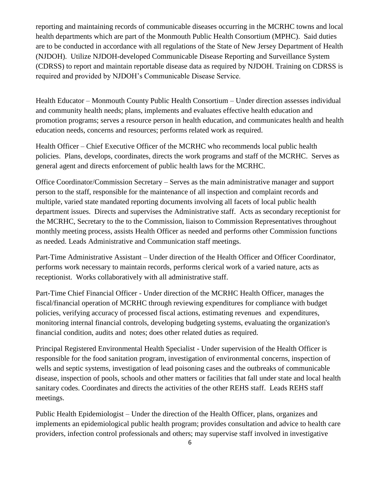reporting and maintaining records of communicable diseases occurring in the MCRHC towns and local health departments which are part of the Monmouth Public Health Consortium (MPHC). Said duties are to be conducted in accordance with all regulations of the State of New Jersey Department of Health (NJDOH). Utilize NJDOH-developed Communicable Disease Reporting and Surveillance System (CDRSS) to report and maintain reportable disease data as required by NJDOH. Training on CDRSS is required and provided by NJDOH's Communicable Disease Service.

Health Educator – Monmouth County Public Health Consortium – Under direction assesses individual and community health needs; plans, implements and evaluates effective health education and promotion programs; serves a resource person in health education, and communicates health and health education needs, concerns and resources; performs related work as required.

Health Officer – Chief Executive Officer of the MCRHC who recommends local public health policies. Plans, develops, coordinates, directs the work programs and staff of the MCRHC. Serves as general agent and directs enforcement of public health laws for the MCRHC.

Office Coordinator/Commission Secretary – Serves as the main administrative manager and support person to the staff, responsible for the maintenance of all inspection and complaint records and multiple, varied state mandated reporting documents involving all facets of local public health department issues. Directs and supervises the Administrative staff. Acts as secondary receptionist for the MCRHC, Secretary to the to the Commission, liaison to Commission Representatives throughout monthly meeting process, assists Health Officer as needed and performs other Commission functions as needed. Leads Administrative and Communication staff meetings.

Part-Time Administrative Assistant – Under direction of the Health Officer and Officer Coordinator, performs work necessary to maintain records, performs clerical work of a varied nature, acts as receptionist. Works collaboratively with all administrative staff.

Part-Time Chief Financial Officer - Under direction of the MCRHC Health Officer, manages the fiscal/financial operation of MCRHC through reviewing expenditures for compliance with budget policies, verifying accuracy of processed fiscal actions, estimating revenues and expenditures, monitoring internal financial controls, developing budgeting systems, evaluating the organization's financial condition, audits and notes; does other related duties as required.

Principal Registered Environmental Health Specialist - Under supervision of the Health Officer is responsible for the food sanitation program, investigation of environmental concerns, inspection of wells and septic systems, investigation of lead poisoning cases and the outbreaks of communicable disease, inspection of pools, schools and other matters or facilities that fall under state and local health sanitary codes. Coordinates and directs the activities of the other REHS staff. Leads REHS staff meetings.

Public Health Epidemiologist – Under the direction of the Health Officer, plans, organizes and implements an epidemiological public health program; provides consultation and advice to health care providers, infection control professionals and others; may supervise staff involved in investigative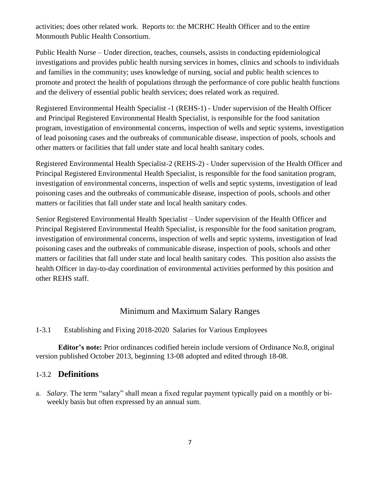activities; does other related work. Reports to: the MCRHC Health Officer and to the entire Monmouth Public Health Consortium.

Public Health Nurse – Under direction, teaches, counsels, assists in conducting epidemiological investigations and provides public health nursing services in homes, clinics and schools to individuals and families in the community; uses knowledge of nursing, social and public health sciences to promote and protect the health of populations through the performance of core public health functions and the delivery of essential public health services; does related work as required.

Registered Environmental Health Specialist -1 (REHS-1) - Under supervision of the Health Officer and Principal Registered Environmental Health Specialist, is responsible for the food sanitation program, investigation of environmental concerns, inspection of wells and septic systems, investigation of lead poisoning cases and the outbreaks of communicable disease, inspection of pools, schools and other matters or facilities that fall under state and local health sanitary codes.

Registered Environmental Health Specialist-2 (REHS-2) - Under supervision of the Health Officer and Principal Registered Environmental Health Specialist, is responsible for the food sanitation program, investigation of environmental concerns, inspection of wells and septic systems, investigation of lead poisoning cases and the outbreaks of communicable disease, inspection of pools, schools and other matters or facilities that fall under state and local health sanitary codes.

Senior Registered Environmental Health Specialist – Under supervision of the Health Officer and Principal Registered Environmental Health Specialist, is responsible for the food sanitation program, investigation of environmental concerns, inspection of wells and septic systems, investigation of lead poisoning cases and the outbreaks of communicable disease, inspection of pools, schools and other matters or facilities that fall under state and local health sanitary codes. This position also assists the health Officer in day-to-day coordination of environmental activities performed by this position and other REHS staff.

# Minimum and Maximum Salary Ranges

## 1-3.1 Establishing and Fixing 2018-2020 Salaries for Various Employees

**Editor's note:** Prior ordinances codified herein include versions of Ordinance No.8, original version published October 2013, beginning 13-08 adopted and edited through 18-08.

# 1-3.2 **Definitions**

a. *Salary*. The term "salary" shall mean a fixed regular payment typically paid on a monthly or biweekly basis but often expressed by an annual sum.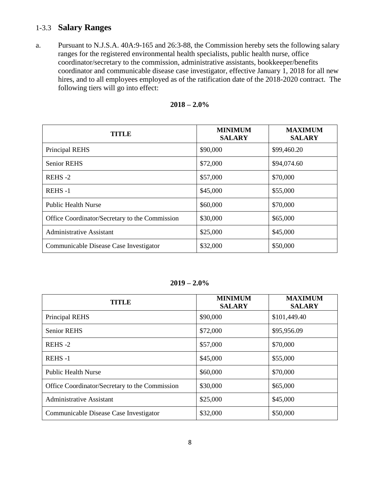# 1-3.3 **Salary Ranges**

a. Pursuant to N.J.S.A. 40A:9-165 and 26:3-88, the Commission hereby sets the following salary ranges for the registered environmental health specialists, public health nurse, office coordinator/secretary to the commission, administrative assistants, bookkeeper/benefits coordinator and communicable disease case investigator, effective January 1, 2018 for all new hires, and to all employees employed as of the ratification date of the 2018-2020 contract. The following tiers will go into effect:

| TITLE                                          | <b>MINIMUM</b><br><b>SALARY</b> | <b>MAXIMUM</b><br><b>SALARY</b> |
|------------------------------------------------|---------------------------------|---------------------------------|
| <b>Principal REHS</b>                          | \$90,000                        | \$99,460.20                     |
| <b>Senior REHS</b>                             | \$72,000                        | \$94,074.60                     |
| REHS-2                                         | \$57,000                        | \$70,000                        |
| <b>REHS-1</b>                                  | \$45,000                        | \$55,000                        |
| <b>Public Health Nurse</b>                     | \$60,000                        | \$70,000                        |
| Office Coordinator/Secretary to the Commission | \$30,000                        | \$65,000                        |
| <b>Administrative Assistant</b>                | \$25,000                        | \$45,000                        |
| Communicable Disease Case Investigator         | \$32,000                        | \$50,000                        |

| $2018 - 2.0\%$ |  |  |
|----------------|--|--|
|----------------|--|--|

**2019 – 2.0%**

| TITLE                                          | <b>MINIMUM</b><br><b>SALARY</b> | <b>MAXIMUM</b><br><b>SALARY</b> |
|------------------------------------------------|---------------------------------|---------------------------------|
| <b>Principal REHS</b>                          | \$90,000                        | \$101,449.40                    |
| <b>Senior REHS</b>                             | \$72,000                        | \$95,956.09                     |
| REHS-2                                         | \$57,000                        | \$70,000                        |
| REHS-1                                         | \$45,000                        | \$55,000                        |
| <b>Public Health Nurse</b>                     | \$60,000                        | \$70,000                        |
| Office Coordinator/Secretary to the Commission | \$30,000                        | \$65,000                        |
| <b>Administrative Assistant</b>                | \$25,000                        | \$45,000                        |
| Communicable Disease Case Investigator         | \$32,000                        | \$50,000                        |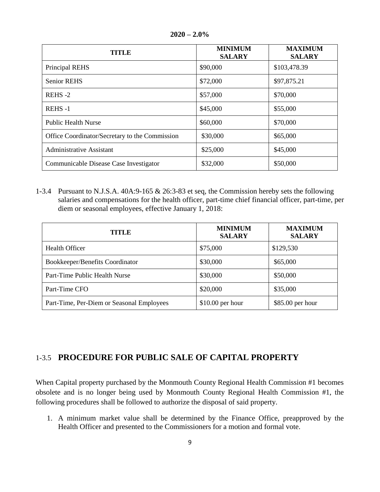| TITLE                                          | <b>MINIMUM</b><br><b>SALARY</b> | <b>MAXIMUM</b><br><b>SALARY</b> |
|------------------------------------------------|---------------------------------|---------------------------------|
| Principal REHS                                 | \$90,000                        | \$103,478.39                    |
| <b>Senior REHS</b>                             | \$72,000                        | \$97,875.21                     |
| REHS-2                                         | \$57,000                        | \$70,000                        |
| REHS-1                                         | \$45,000                        | \$55,000                        |
| <b>Public Health Nurse</b>                     | \$60,000                        | \$70,000                        |
| Office Coordinator/Secretary to the Commission | \$30,000                        | \$65,000                        |
| <b>Administrative Assistant</b>                | \$25,000                        | \$45,000                        |
| Communicable Disease Case Investigator         | \$32,000                        | \$50,000                        |

**2020 – 2.0%**

1-3.4 Pursuant to N.J.S.A. 40A:9-165 & 26:3-83 et seq, the Commission hereby sets the following salaries and compensations for the health officer, part-time chief financial officer, part-time, per diem or seasonal employees, effective January 1, 2018:

| <b>TITLE</b>                              | <b>MINIMUM</b><br><b>SALARY</b> | <b>MAXIMUM</b><br><b>SALARY</b> |
|-------------------------------------------|---------------------------------|---------------------------------|
| Health Officer                            | \$75,000                        | \$129,530                       |
| Bookkeeper/Benefits Coordinator           | \$30,000                        | \$65,000                        |
| Part-Time Public Health Nurse             | \$30,000                        | \$50,000                        |
| Part-Time CFO                             | \$20,000                        | \$35,000                        |
| Part-Time, Per-Diem or Seasonal Employees | $$10.00$ per hour               | \$85.00 per hour                |

# 1-3.5 **PROCEDURE FOR PUBLIC SALE OF CAPITAL PROPERTY**

When Capital property purchased by the Monmouth County Regional Health Commission #1 becomes obsolete and is no longer being used by Monmouth County Regional Health Commission #1, the following procedures shall be followed to authorize the disposal of said property.

1. A minimum market value shall be determined by the Finance Office, preapproved by the Health Officer and presented to the Commissioners for a motion and formal vote.